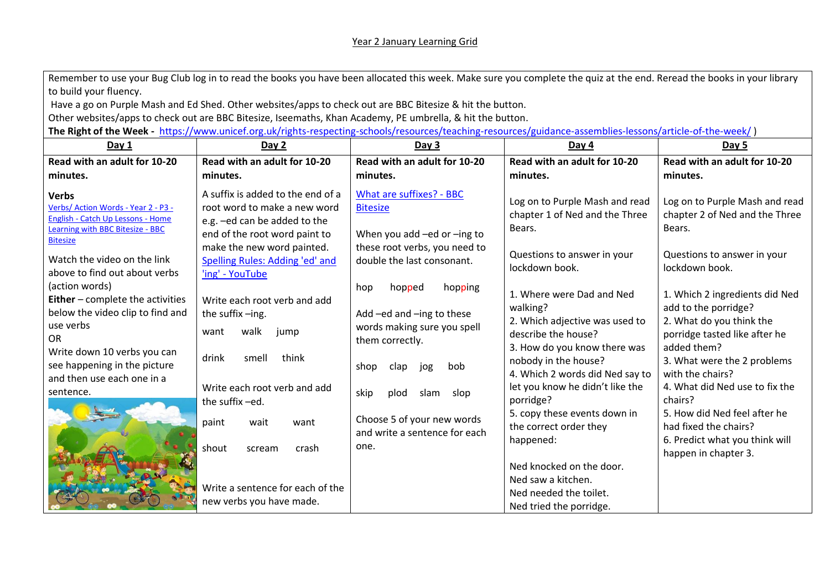## Year 2 January Learning Grid

Remember to use your Bug Club log in to read the books you have been allocated this week. Make sure you complete the quiz at the end. Reread the books in your library to build your fluency.

Have a go on Purple Mash and Ed Shed. Other websites/apps to check out are BBC Bitesize & hit the button.

Other websites/apps to check out are BBC Bitesize, Iseemaths, Khan Academy, PE umbrella, & hit the button.

**The Right of the Week -** <https://www.unicef.org.uk/rights-respecting-schools/resources/teaching-resources/guidance-assemblies-lessons/article-of-the-week/> )

| Day 1                                                                                                                                                                                                                       | Day 2                                                                                                                               | Day 3                                                                                                                                                         | Day 4                                                                                                                                                                                                                        | Day 5                                                                                                                                                                                                                   |
|-----------------------------------------------------------------------------------------------------------------------------------------------------------------------------------------------------------------------------|-------------------------------------------------------------------------------------------------------------------------------------|---------------------------------------------------------------------------------------------------------------------------------------------------------------|------------------------------------------------------------------------------------------------------------------------------------------------------------------------------------------------------------------------------|-------------------------------------------------------------------------------------------------------------------------------------------------------------------------------------------------------------------------|
| Read with an adult for 10-20                                                                                                                                                                                                | Read with an adult for 10-20                                                                                                        | Read with an adult for 10-20                                                                                                                                  | Read with an adult for 10-20                                                                                                                                                                                                 | Read with an adult for 10-20                                                                                                                                                                                            |
| minutes.                                                                                                                                                                                                                    | minutes.                                                                                                                            | minutes.                                                                                                                                                      | minutes.                                                                                                                                                                                                                     | minutes.                                                                                                                                                                                                                |
| <b>Verbs</b><br>Verbs/ Action Words - Year 2 - P3 -<br><b>English - Catch Up Lessons - Home</b><br>Learning with BBC Bitesize - BBC<br><b>Bitesize</b>                                                                      | A suffix is added to the end of a<br>root word to make a new word<br>e.g. -ed can be added to the<br>end of the root word paint to  | What are suffixes? - BBC<br><b>Bitesize</b><br>When you add -ed or -ing to                                                                                    | Log on to Purple Mash and read<br>chapter 1 of Ned and the Three<br>Bears.                                                                                                                                                   | Log on to Purple Mash and read<br>chapter 2 of Ned and the Three<br>Bears.                                                                                                                                              |
| Watch the video on the link<br>above to find out about verbs                                                                                                                                                                | make the new word painted.<br>Spelling Rules: Adding 'ed' and<br>'ing' - YouTube                                                    | these root verbs, you need to<br>double the last consonant.                                                                                                   | Questions to answer in your<br>lockdown book.                                                                                                                                                                                | Questions to answer in your<br>lockdown book.                                                                                                                                                                           |
| (action words)<br><b>Either</b> - complete the activities<br>below the video clip to find and<br>use verbs<br>OR.<br>Write down 10 verbs you can<br>see happening in the picture<br>and then use each one in a<br>sentence. | Write each root verb and add<br>the suffix-ing.<br>walk<br>want<br>jump<br>drink<br>think<br>smell<br>Write each root verb and add  | hopping<br>hop<br>hopped<br>Add -ed and -ing to these<br>words making sure you spell<br>them correctly.<br>shop<br>clap<br>jog<br>bob<br>skip<br>slop<br>slam | 1. Where were Dad and Ned<br>walking?<br>2. Which adjective was used to<br>describe the house?<br>3. How do you know there was<br>nobody in the house?<br>4. Which 2 words did Ned say to<br>let you know he didn't like the | 1. Which 2 ingredients did Ned<br>add to the porridge?<br>2. What do you think the<br>porridge tasted like after he<br>added them?<br>3. What were the 2 problems<br>with the chairs?<br>4. What did Ned use to fix the |
|                                                                                                                                                                                                                             | the suffix-ed.<br>wait<br>paint<br>want<br>shout<br>crash<br>scream<br>Write a sentence for each of the<br>new verbs you have made. | plod<br>Choose 5 of your new words<br>and write a sentence for each<br>one.                                                                                   | porridge?<br>5. copy these events down in<br>the correct order they<br>happened:<br>Ned knocked on the door.<br>Ned saw a kitchen.<br>Ned needed the toilet.<br>Ned tried the porridge.                                      | chairs?<br>5. How did Ned feel after he<br>had fixed the chairs?<br>6. Predict what you think will<br>happen in chapter 3.                                                                                              |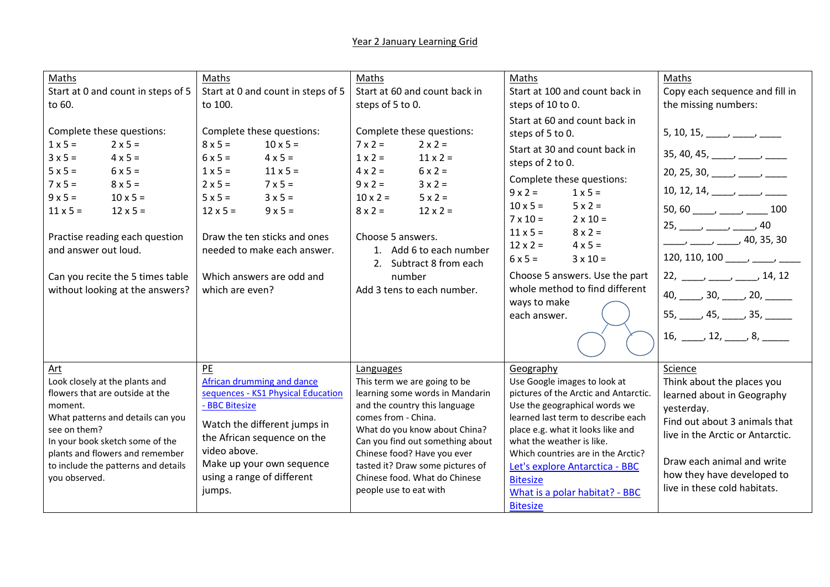| Maths<br>Start at 0 and count in steps of 5<br>to 60.<br>Complete these questions:<br>$1 \times 5 =$<br>$2 \times 5 =$<br>$3x5=$<br>$4 \times 5 =$<br>$6x5=$<br>$5 \times 5 =$<br>$7 \times 5 =$<br>$8 \times 5 =$<br>$9x5=$<br>$10 \times 5 =$<br>$11 \times 5 =$<br>$12 \times 5 =$<br>Practise reading each question<br>and answer out loud.<br>Can you recite the 5 times table<br>without looking at the answers? | Maths<br>Start at 0 and count in steps of 5<br>to 100.<br>Complete these questions:<br>$8 \times 5 =$<br>$10 \times 5 =$<br>$6x5=$<br>$4 \times 5 =$<br>$1 \times 5 =$<br>$11 \times 5 =$<br>$2 \times 5 =$<br>$7 \times 5 =$<br>$5 \times 5 =$<br>$3 \times 5 =$<br>$12 \times 5 =$<br>$9x5=$<br>Draw the ten sticks and ones<br>needed to make each answer.<br>Which answers are odd and<br>which are even? | Maths<br>Start at 60 and count back in<br>steps of 5 to 0.<br>Complete these questions:<br>$7 \times 2 =$<br>$2 \times 2 =$<br>$1 \times 2 =$<br>$11 \times 2 =$<br>$4 \times 2 =$<br>$6 \times 2 =$<br>$9x2=$<br>$3 \times 2 =$<br>$10 \times 2 =$<br>$5 \times 2 =$<br>$12 \times 2 =$<br>$8 \times 2 =$<br>Choose 5 answers.<br>1. Add 6 to each number<br>2. Subtract 8 from each<br>number<br>Add 3 tens to each number. | Maths<br>Start at 100 and count back in<br>steps of 10 to 0.<br>Start at 60 and count back in<br>steps of 5 to 0.<br>Start at 30 and count back in<br>steps of 2 to 0.<br>Complete these questions:<br>$9 \times 2 =$<br>$1 \times 5 =$<br>$10 \times 5 =$<br>$5 \times 2 =$<br>$7 \times 10 =$<br>$2 \times 10 =$<br>$11 \times 5 =$<br>$8 \times 2 =$<br>$12 \times 2 =$<br>$4 \times 5 =$<br>$6x5=$<br>$3 \times 10 =$<br>Choose 5 answers. Use the part<br>whole method to find different<br>ways to make<br>each answer. | Maths<br>Copy each sequence and fill in<br>the missing numbers:<br>5, 10, 15, _____, ____, _____<br>$35, 40, 45, \_\_\_\_$<br>20, 25, 30, _____, ____, _____,<br>10, 12, 14, ____, ___, ____,<br>$25, \_\_\_\_\_$ $\_\_\_$ $\_\_$ $\_\_$ 40<br>$\frac{1}{2}$ $\frac{1}{2}$ $\frac{1}{2}$ $\frac{1}{2}$ $\frac{1}{2}$ $\frac{1}{2}$ $\frac{1}{2}$ $\frac{1}{2}$ $\frac{1}{2}$ $\frac{1}{2}$ $\frac{1}{2}$ $\frac{1}{2}$ $\frac{1}{2}$ $\frac{1}{2}$ $\frac{1}{2}$ $\frac{1}{2}$ $\frac{1}{2}$ $\frac{1}{2}$ $\frac{1}{2}$ $\frac{1}{2}$ $\frac{1}{2}$ $\frac{1}{2}$<br>120, 110, 100 _____, ____, _____<br>$22, \_\_\_\_\_$ $\_\_\_\_$ 14, 12<br>$40, \_\_\_\$ 30, $\_\_\_\$ 20, $\_\_\_\_\_\_\$<br>$55, \_\_\_$ 45, $\_\_\_$ 35, $\_\_\_\_$<br>$16, \_\_\_\$ 12, $\_\_\_\$ 8, $\_\_\_\_\$ |
|------------------------------------------------------------------------------------------------------------------------------------------------------------------------------------------------------------------------------------------------------------------------------------------------------------------------------------------------------------------------------------------------------------------------|---------------------------------------------------------------------------------------------------------------------------------------------------------------------------------------------------------------------------------------------------------------------------------------------------------------------------------------------------------------------------------------------------------------|-------------------------------------------------------------------------------------------------------------------------------------------------------------------------------------------------------------------------------------------------------------------------------------------------------------------------------------------------------------------------------------------------------------------------------|-------------------------------------------------------------------------------------------------------------------------------------------------------------------------------------------------------------------------------------------------------------------------------------------------------------------------------------------------------------------------------------------------------------------------------------------------------------------------------------------------------------------------------|-------------------------------------------------------------------------------------------------------------------------------------------------------------------------------------------------------------------------------------------------------------------------------------------------------------------------------------------------------------------------------------------------------------------------------------------------------------------------------------------------------------------------------------------------------------------------------------------------------------------------------------------------------------------------------------------------------------------------------------------------------------------------------------------|
| Art<br>Look closely at the plants and<br>flowers that are outside at the<br>moment.<br>What patterns and details can you<br>see on them?<br>In your book sketch some of the<br>plants and flowers and remember<br>to include the patterns and details<br>you observed.                                                                                                                                                 | PE<br>African drumming and dance<br>sequences - KS1 Physical Education<br>- BBC Bitesize<br>Watch the different jumps in<br>the African sequence on the<br>video above.<br>Make up your own sequence<br>using a range of different<br>jumps.                                                                                                                                                                  | Languages<br>This term we are going to be<br>learning some words in Mandarin<br>and the country this language<br>comes from - China.<br>What do you know about China?<br>Can you find out something about<br>Chinese food? Have you ever<br>tasted it? Draw some pictures of<br>Chinese food. What do Chinese<br>people use to eat with                                                                                       | Geography<br>Use Google images to look at<br>pictures of the Arctic and Antarctic.<br>Use the geographical words we<br>learned last term to describe each<br>place e.g. what it looks like and<br>what the weather is like.<br>Which countries are in the Arctic?<br>Let's explore Antarctica - BBC<br><b>Bitesize</b><br>What is a polar habitat? - BBC<br><b>Bitesize</b>                                                                                                                                                   | Science<br>Think about the places you<br>learned about in Geography<br>yesterday.<br>Find out about 3 animals that<br>live in the Arctic or Antarctic.<br>Draw each animal and write<br>how they have developed to<br>live in these cold habitats.                                                                                                                                                                                                                                                                                                                                                                                                                                                                                                                                        |